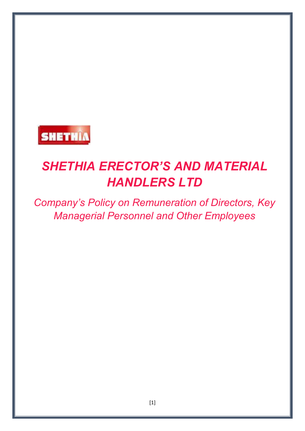

# *SHETHIA ERECTOR'S AND MATERIAL HANDLERS LTD*

*Company's Policy on Remuneration of Directors, Key Managerial Personnel and Other Employees*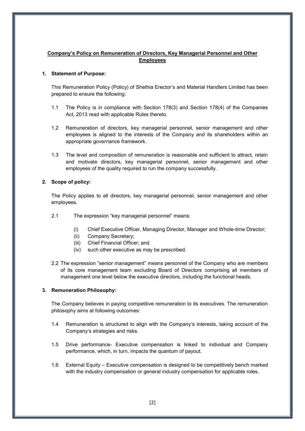## **Company's Policy on Remuneration of Directors, Key Managerial Personnel and Other Employees**

### **1. Statement of Purpose:**

This Remuneration Policy (Policy) of Shethia Erector's and Material Handlers Limited has been prepared to ensure the following:

- 1.1 The Policy is in compliance with Section 178(3) and Section 178(4) of the Companies Act, 2013 read with applicable Rules thereto.
- 1.2 Remuneration of directors, key managerial personnel, senior management and other employees is aligned to the interests of the Company and its shareholders within an appropriate governance framework.
- 1.3 The level and composition of remuneration is reasonable and sufficient to attract, retain and motivate directors, key managerial personnel, senior management and other employees of the quality required to run the company successfully.

### **2. Scope of policy:**

The Policy applies to all directors, key managerial personnel, senior management and other employees.

- 2.1 The expression "key managerial personnel" means:
	- (i) Chief Executive Officer, Managing Director, Manager and Whole-time Director;
	- (ii) Company Secretary;
	- (iii) Chief Financial Officer; and
	- (iv) such other executive as may be prescribed.
- 2.2 The expression "senior management" means personnel of the Company who are members of its core management team excluding Board of Directors comprising all members of management one level below the executive directors, including the functional heads.

### **3. Remuneration Philosophy:**

The Company believes in paying competitive remuneration to its executives. The remuneration philosophy aims at following outcomes:

- 1.4 Remuneration is structured to align with the Company's interests, taking account of the Company's strategies and risks.
- 1.5 Drive performance- Executive compensation is linked to individual and Company performance, which, in turn, impacts the quantum of payout.
- 1.6 External Equity Executive compensation is designed to be competitively bench marked with the industry compensation or general industry compensation for applicable roles.